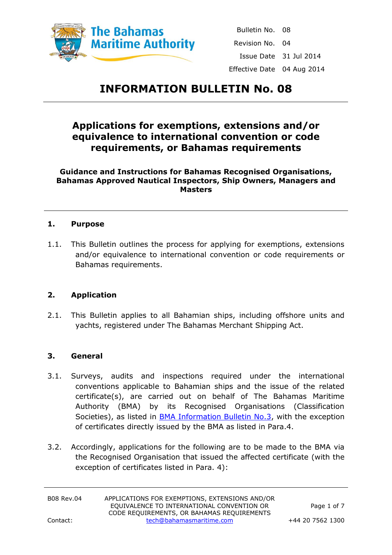

Bulletin No. 08 Revision No. 04 Issue Date 31 Jul 2014 Effective Date 04 Aug 2014

# **INFORMATION BULLETIN No. 08**

# **Applications for exemptions, extensions and/or equivalence to international convention or code requirements, or Bahamas requirements**

**Guidance and Instructions for Bahamas Recognised Organisations, Bahamas Approved Nautical Inspectors, Ship Owners, Managers and Masters**

#### **1. Purpose**

1.1. This Bulletin outlines the process for applying for exemptions, extensions and/or equivalence to international convention or code requirements or Bahamas requirements.

#### **2. Application**

2.1. This Bulletin applies to all Bahamian ships, including offshore units and yachts, registered under The Bahamas Merchant Shipping Act.

#### **3. General**

- 3.1. Surveys, audits and inspections required under the international conventions applicable to Bahamian ships and the issue of the related certificate(s), are carried out on behalf of The Bahamas Maritime Authority (BMA) by its Recognised Organisations (Classification Societies), as listed in [BMA Information Bulletin No.3,](http://www.bahamasmaritime.com/downloads/Bulletins/03bulltnv04.pdf) with the exception of certificates directly issued by the BMA as listed in Para.4.
- 3.2. Accordingly, applications for the following are to be made to the BMA via the Recognised Organisation that issued the affected certificate (with the exception of certificates listed in Para. 4):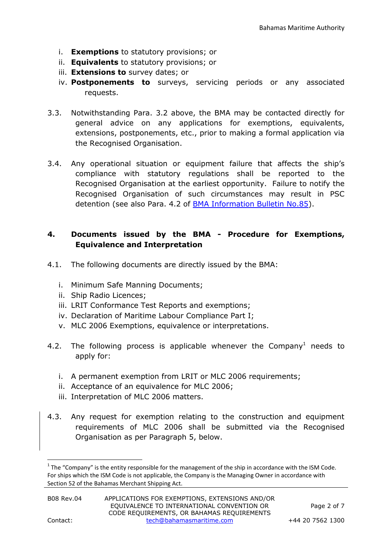- i. **Exemptions** to statutory provisions; or
- ii. **Equivalents** to statutory provisions; or
- iii. **Extensions to** survey dates; or
- iv. **Postponements to** surveys, servicing periods or any associated requests.
- 3.3. Notwithstanding Para. 3.2 above, the BMA may be contacted directly for general advice on any applications for exemptions, equivalents, extensions, postponements, etc., prior to making a formal application via the Recognised Organisation.
- 3.4. Any operational situation or equipment failure that affects the ship's compliance with statutory regulations shall be reported to the Recognised Organisation at the earliest opportunity. Failure to notify the Recognised Organisation of such circumstances may result in PSC detention (see also Para. 4.2 of [BMA Information Bulletin No.85\)](http://www.bahamasmaritime.com/downloads/Bulletins/85bulltnrev04.pdf).

#### **4. Documents issued by the BMA - Procedure for Exemptions, Equivalence and Interpretation**

- 4.1. The following documents are directly issued by the BMA:
	- i. Minimum Safe Manning Documents;
	- ii. Ship Radio Licences;
	- iii. LRIT Conformance Test Reports and exemptions;
	- iv. Declaration of Maritime Labour Compliance Part I;
	- v. MLC 2006 Exemptions, equivalence or interpretations.
- 4.2. The following process is applicable whenever the Company<sup>1</sup> needs to apply for:
	- i. A permanent exemption from LRIT or MLC 2006 requirements;
	- ii. Acceptance of an equivalence for MLC 2006;
	- iii. Interpretation of MLC 2006 matters.
- 4.3. Any request for exemption relating to the construction and equipment requirements of MLC 2006 shall be submitted via the Recognised Organisation as per Paragraph 5, below.

**.** 

 $1$  The "Company" is the entity responsible for the management of the ship in accordance with the ISM Code. For ships which the ISM Code is not applicable, the Company is the Managing Owner in accordance with Section 52 of the Bahamas Merchant Shipping Act.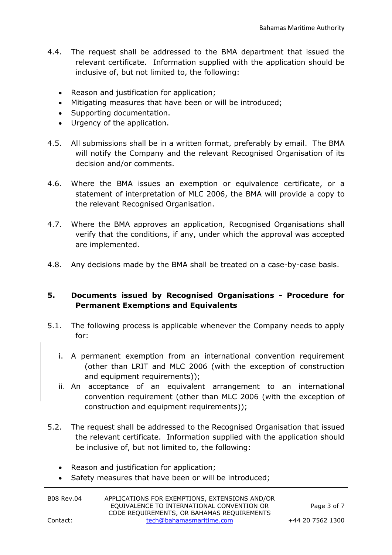- 4.4. The request shall be addressed to the BMA department that issued the relevant certificate. Information supplied with the application should be inclusive of, but not limited to, the following:
	- Reason and justification for application;
	- Mitigating measures that have been or will be introduced;
	- Supporting documentation.
	- Urgency of the application.
- 4.5. All submissions shall be in a written format, preferably by email. The BMA will notify the Company and the relevant Recognised Organisation of its decision and/or comments.
- 4.6. Where the BMA issues an exemption or equivalence certificate, or a statement of interpretation of MLC 2006, the BMA will provide a copy to the relevant Recognised Organisation.
- 4.7. Where the BMA approves an application, Recognised Organisations shall verify that the conditions, if any, under which the approval was accepted are implemented.
- 4.8. Any decisions made by the BMA shall be treated on a case-by-case basis.

# **5. Documents issued by Recognised Organisations - Procedure for Permanent Exemptions and Equivalents**

- 5.1. The following process is applicable whenever the Company needs to apply for:
	- i. A permanent exemption from an international convention requirement (other than LRIT and MLC 2006 (with the exception of construction and equipment requirements));
	- ii. An acceptance of an equivalent arrangement to an international convention requirement (other than MLC 2006 (with the exception of construction and equipment requirements));
- 5.2. The request shall be addressed to the Recognised Organisation that issued the relevant certificate. Information supplied with the application should be inclusive of, but not limited to, the following:
	- Reason and justification for application;
	- Safety measures that have been or will be introduced;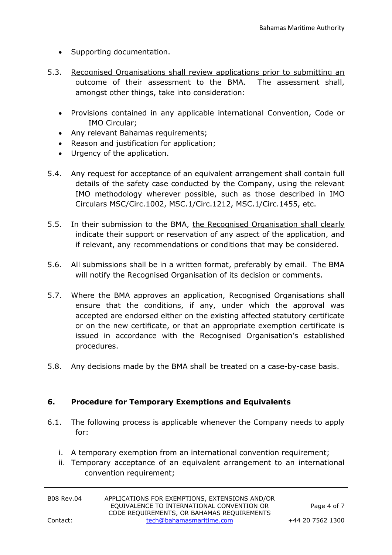- Supporting documentation.
- 5.3. Recognised Organisations shall review applications prior to submitting an outcome of their assessment to the BMA. The assessment shall, amongst other things, take into consideration:
	- Provisions contained in any applicable international Convention, Code or IMO Circular;
	- Any relevant Bahamas requirements;
	- Reason and justification for application;
	- Urgency of the application.
- 5.4. Any request for acceptance of an equivalent arrangement shall contain full details of the safety case conducted by the Company, using the relevant IMO methodology wherever possible, such as those described in IMO Circulars MSC/Circ.1002, MSC.1/Circ.1212, MSC.1/Circ.1455, etc.
- 5.5. In their submission to the BMA, the Recognised Organisation shall clearly indicate their support or reservation of any aspect of the application, and if relevant, any recommendations or conditions that may be considered.
- 5.6. All submissions shall be in a written format, preferably by email. The BMA will notify the Recognised Organisation of its decision or comments.
- 5.7. Where the BMA approves an application, Recognised Organisations shall ensure that the conditions, if any, under which the approval was accepted are endorsed either on the existing affected statutory certificate or on the new certificate, or that an appropriate exemption certificate is issued in accordance with the Recognised Organisation's established procedures.
- 5.8. Any decisions made by the BMA shall be treated on a case-by-case basis.

#### **6. Procedure for Temporary Exemptions and Equivalents**

- 6.1. The following process is applicable whenever the Company needs to apply for:
	- i. A temporary exemption from an international convention requirement;
	- ii. Temporary acceptance of an equivalent arrangement to an international convention requirement;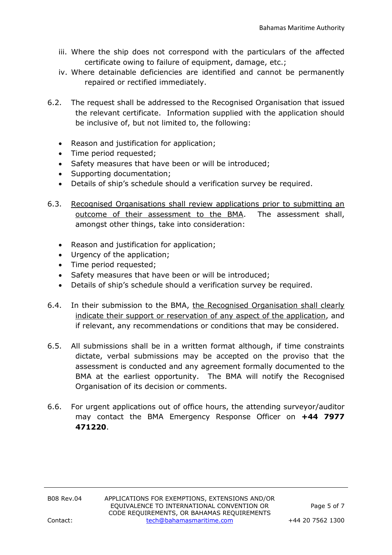- iii. Where the ship does not correspond with the particulars of the affected certificate owing to failure of equipment, damage, etc.;
- iv. Where detainable deficiencies are identified and cannot be permanently repaired or rectified immediately.
- 6.2. The request shall be addressed to the Recognised Organisation that issued the relevant certificate. Information supplied with the application should be inclusive of, but not limited to, the following:
	- Reason and justification for application;
	- Time period requested;
	- Safety measures that have been or will be introduced;
	- Supporting documentation;
	- Details of ship's schedule should a verification survey be required.
- 6.3. Recognised Organisations shall review applications prior to submitting an outcome of their assessment to the BMA. The assessment shall, amongst other things, take into consideration:
	- Reason and justification for application;
	- Urgency of the application;
	- Time period requested;
	- Safety measures that have been or will be introduced;
	- Details of ship's schedule should a verification survey be required.
- 6.4. In their submission to the BMA, the Recognised Organisation shall clearly indicate their support or reservation of any aspect of the application, and if relevant, any recommendations or conditions that may be considered.
- 6.5. All submissions shall be in a written format although, if time constraints dictate, verbal submissions may be accepted on the proviso that the assessment is conducted and any agreement formally documented to the BMA at the earliest opportunity. The BMA will notify the Recognised Organisation of its decision or comments.
- 6.6. For urgent applications out of office hours, the attending surveyor/auditor may contact the BMA Emergency Response Officer on **+44 7977 471220**.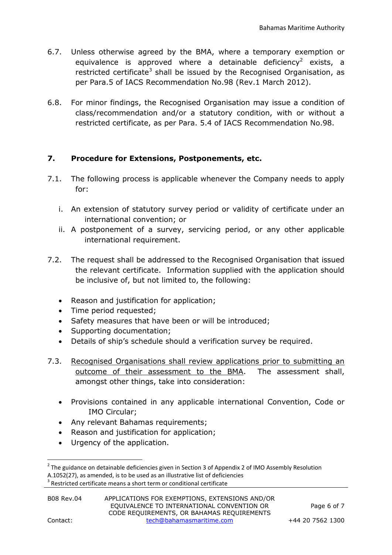- 6.7. Unless otherwise agreed by the BMA, where a temporary exemption or equivalence is approved where a detainable deficiency<sup>2</sup> exists, a restricted certificate<sup>3</sup> shall be issued by the Recognised Organisation, as per Para.5 of IACS Recommendation No.98 (Rev.1 March 2012).
- 6.8. For minor findings, the Recognised Organisation may issue a condition of class/recommendation and/or a statutory condition, with or without a restricted certificate, as per Para. 5.4 of IACS Recommendation No.98.

# **7. Procedure for Extensions, Postponements, etc.**

- 7.1. The following process is applicable whenever the Company needs to apply for:
	- i. An extension of statutory survey period or validity of certificate under an international convention; or
	- ii. A postponement of a survey, servicing period, or any other applicable international requirement.
- 7.2. The request shall be addressed to the Recognised Organisation that issued the relevant certificate. Information supplied with the application should be inclusive of, but not limited to, the following:
	- Reason and justification for application;
	- Time period requested;
	- Safety measures that have been or will be introduced;
	- Supporting documentation;
	- Details of ship's schedule should a verification survey be required.
- 7.3. Recognised Organisations shall review applications prior to submitting an outcome of their assessment to the BMA. The assessment shall, amongst other things, take into consideration:
	- Provisions contained in any applicable international Convention, Code or IMO Circular;
	- Any relevant Bahamas requirements;
	- Reason and justification for application;
	- Urgency of the application.

**.** 

 $2$  The guidance on detainable deficiencies given in Section 3 of Appendix 2 of IMO Assembly Resolution A.1052(27), as amended, is to be used as an illustrative list of deficiencies

 $3$  Restricted certificate means a short term or conditional certificate